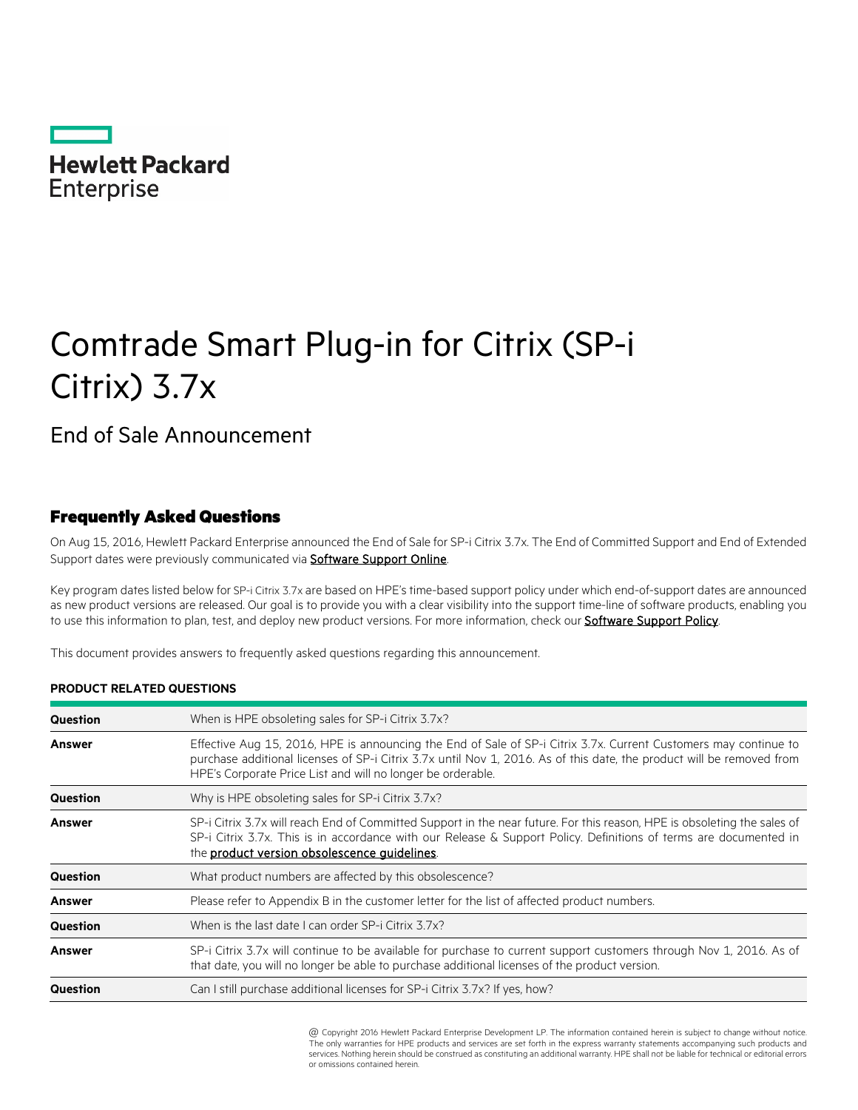

# Comtrade Smart Plug-in for Citrix (SP-i Citrix) 3.7x

End of Sale Announcement

# Frequently Asked Questions

On Aug 15, 2016, Hewlett Packard Enterprise announced the End of Sale for SP-i Citrix 3.7x. The End of Committed Support and End of Extended Support dates were previously communicated via **Software Support Online**.

Key program dates listed below for SP-i Citrix 3.7x are based on HPE's time-based support policy under which end-of-support dates are announced as new product versions are released. Our goal is to provide you with a clear visibility into the support time-line of software products, enabling you to use this information to plan, test, and deploy new product versions. For more information, check our **Software Support Policy**.

This document provides answers to frequently asked questions regarding this announcement.

#### **PRODUCT RELATED QUESTIONS**

| Question        | When is HPE obsoleting sales for SP-i Citrix 3.7x?                                                                                                                                                                                                                                                       |
|-----------------|----------------------------------------------------------------------------------------------------------------------------------------------------------------------------------------------------------------------------------------------------------------------------------------------------------|
| Answer          | Effective Aug 15, 2016, HPE is announcing the End of Sale of SP-i Citrix 3.7x. Current Customers may continue to<br>purchase additional licenses of SP-i Citrix 3.7x until Nov 1, 2016. As of this date, the product will be removed from<br>HPE's Corporate Price List and will no longer be orderable. |
| Question        | Why is HPE obsoleting sales for SP-i Citrix 3.7x?                                                                                                                                                                                                                                                        |
| <b>Answer</b>   | SP-i Citrix 3.7x will reach End of Committed Support in the near future. For this reason, HPE is obsoleting the sales of<br>SP-i Citrix 3.7x. This is in accordance with our Release & Support Policy. Definitions of terms are documented in<br>the product version obsolescence guidelines.            |
| Question        | What product numbers are affected by this obsolescence?                                                                                                                                                                                                                                                  |
| <b>Answer</b>   | Please refer to Appendix B in the customer letter for the list of affected product numbers.                                                                                                                                                                                                              |
| <b>Question</b> | When is the last date I can order SP-i Citrix 3.7x?                                                                                                                                                                                                                                                      |
| <b>Answer</b>   | SP-i Citrix 3.7x will continue to be available for purchase to current support customers through Nov 1, 2016. As of<br>that date, you will no longer be able to purchase additional licenses of the product version.                                                                                     |
| Question        | Can I still purchase additional licenses for SP-i Citrix 3.7x? If yes, how?                                                                                                                                                                                                                              |

@ Copyright 2016 Hewlett Packard Enterprise Development LP. The information contained herein is subject to change without notice. The only warranties for HPE products and services are set forth in the express warranty statements accompanying such products and services. Nothing herein should be construed as constituting an additional warranty. HPE shall not be liable for technical or editorial errors or omissions contained herein.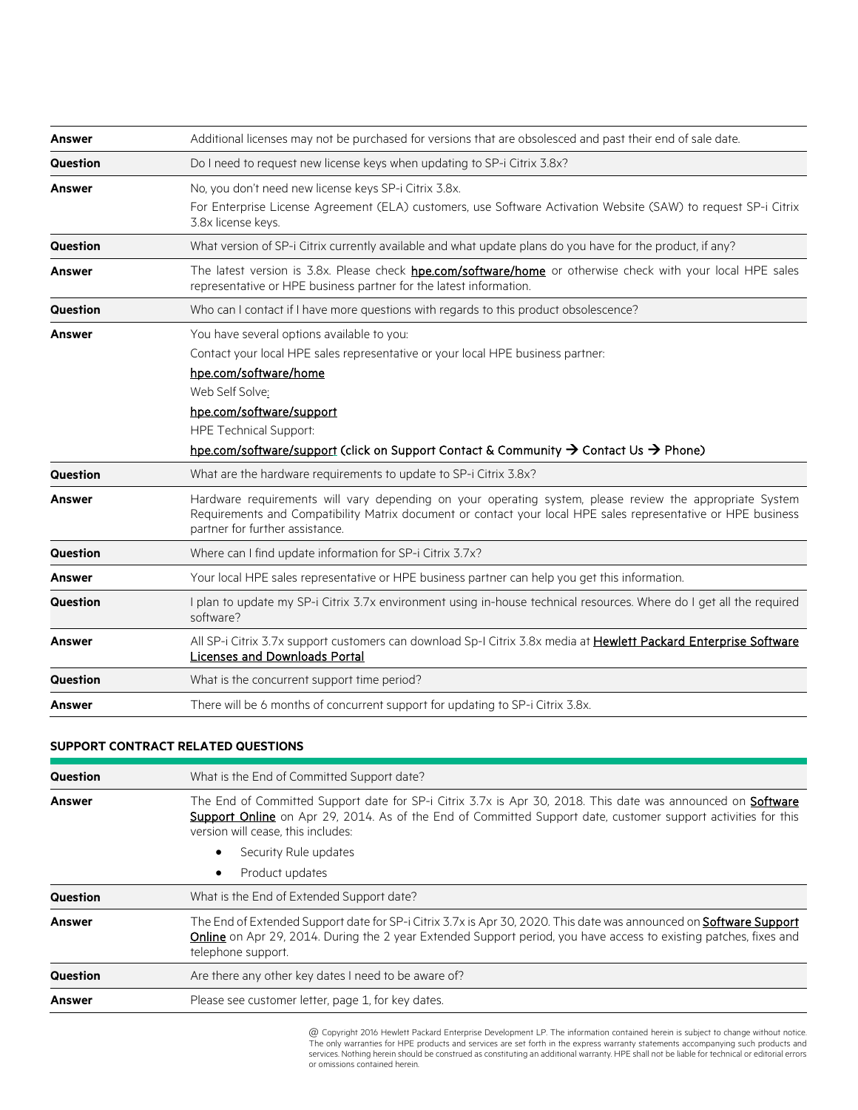| Answer          | Additional licenses may not be purchased for versions that are obsolesced and past their end of sale date.                                                                                                                                                                                                                     |
|-----------------|--------------------------------------------------------------------------------------------------------------------------------------------------------------------------------------------------------------------------------------------------------------------------------------------------------------------------------|
| Question        | Do I need to request new license keys when updating to SP-i Citrix 3.8x?                                                                                                                                                                                                                                                       |
| Answer          | No, you don't need new license keys SP-i Citrix 3.8x.<br>For Enterprise License Agreement (ELA) customers, use Software Activation Website (SAW) to request SP-i Citrix<br>3.8x license keys.                                                                                                                                  |
| Question        | What version of SP-i Citrix currently available and what update plans do you have for the product, if any?                                                                                                                                                                                                                     |
| <b>Answer</b>   | The latest version is 3.8x. Please check <b>hpe.com/software/home</b> or otherwise check with your local HPE sales<br>representative or HPE business partner for the latest information.                                                                                                                                       |
| Question        | Who can I contact if I have more questions with regards to this product obsolescence?                                                                                                                                                                                                                                          |
| Answer          | You have several options available to you:<br>Contact your local HPE sales representative or your local HPE business partner:<br>hpe.com/software/home<br>Web Self Solve:<br>hpe.com/software/support<br><b>HPE Technical Support:</b><br>hpe.com/software/support (click on Support Contact & Community → Contact Us → Phone) |
| <b>Question</b> | What are the hardware requirements to update to SP-i Citrix 3.8x?                                                                                                                                                                                                                                                              |
| Answer          | Hardware requirements will vary depending on your operating system, please review the appropriate System<br>Requirements and Compatibility Matrix document or contact your local HPE sales representative or HPE business<br>partner for further assistance.                                                                   |
| Question        | Where can I find update information for SP-i Citrix 3.7x?                                                                                                                                                                                                                                                                      |
| Answer          | Your local HPE sales representative or HPE business partner can help you get this information.                                                                                                                                                                                                                                 |
| Question        | I plan to update my SP-i Citrix 3.7x environment using in-house technical resources. Where do I get all the required<br>software?                                                                                                                                                                                              |
| <b>Answer</b>   | All SP-i Citrix 3.7x support customers can download Sp-I Citrix 3.8x media at Hewlett Packard Enterprise Software<br><b>Licenses and Downloads Portal</b>                                                                                                                                                                      |
| Question        | What is the concurrent support time period?                                                                                                                                                                                                                                                                                    |
| Answer          | There will be 6 months of concurrent support for updating to SP-i Citrix 3.8x.                                                                                                                                                                                                                                                 |

#### **SUPPORT CONTRACT RELATED QUESTIONS**

| Question        | What is the End of Committed Support date?                                                                                                                                                                                                                                |
|-----------------|---------------------------------------------------------------------------------------------------------------------------------------------------------------------------------------------------------------------------------------------------------------------------|
| <b>Answer</b>   | The End of Committed Support date for SP-i Citrix 3.7x is Apr 30, 2018. This date was announced on <b>Software</b><br>Support Online on Apr 29, 2014. As of the End of Committed Support date, customer support activities for this<br>version will cease, this includes: |
|                 | Security Rule updates                                                                                                                                                                                                                                                     |
|                 | Product updates                                                                                                                                                                                                                                                           |
| <b>Question</b> | What is the End of Extended Support date?                                                                                                                                                                                                                                 |
| Answer          | The End of Extended Support date for SP-i Citrix 3.7x is Apr 30, 2020. This date was announced on Software Support<br>Online on Apr 29, 2014. During the 2 year Extended Support period, you have access to existing patches, fixes and<br>telephone support.             |
| <b>Question</b> | Are there any other key dates I need to be aware of?                                                                                                                                                                                                                      |
| <b>Answer</b>   | Please see customer letter, page 1, for key dates.                                                                                                                                                                                                                        |

\* @ Copyright 2016 Hewlett Packard Enterprise Development LP. The information contained herein is subject to change without notice. The only warranties for HPE products and services are set forth in the express warranty statements accompanying such products and<br>services. Nothing herein should be construed as constituting an additional warranty. HPE sha